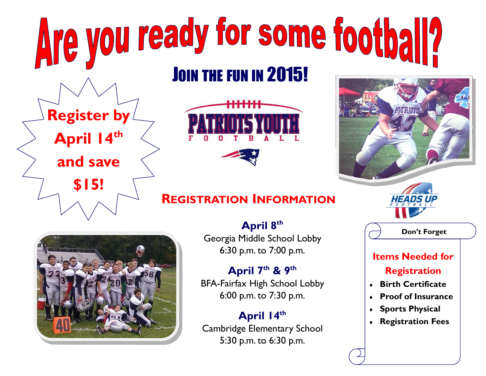## Are you ready for some football? JOIN THE FUN IN 2015!



## **REGISTRATION INFORMATION**



**Register by** 

April 14<sup>th</sup>

**and save** 

**\$15!**

**April 8th** Georgia Middle School Lobby 6:30 p.m. to 7:00 p.m.

**April 7th & 9th** BFA-Fairfax High School Lobby 6:00 p.m. to 7:30 p.m.

**April 14th** Cambridge Elementary School 5:30 p.m. to 6:30 p.m.



**Don't Forget**

## **Items Needed for Registration**

- ® **Birth Certificate**
- ® **Proof of Insurance**
- ® **Sports Physical**
- ® **Registration Fees**